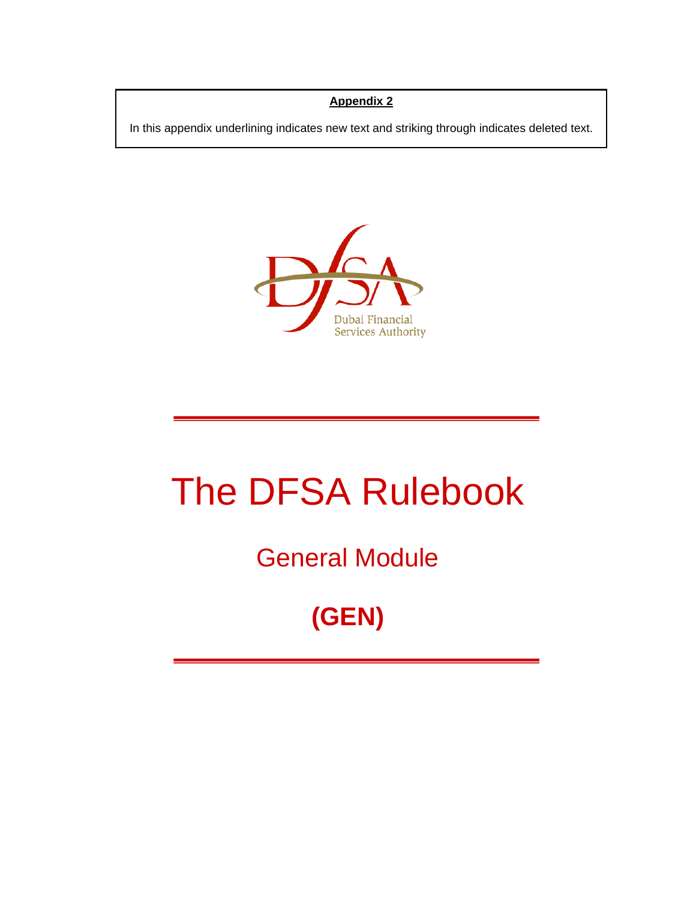## **Appendix 2**

In this appendix underlining indicates new text and striking through indicates deleted text.



# The DFSA Rulebook

General Module

**(GEN)**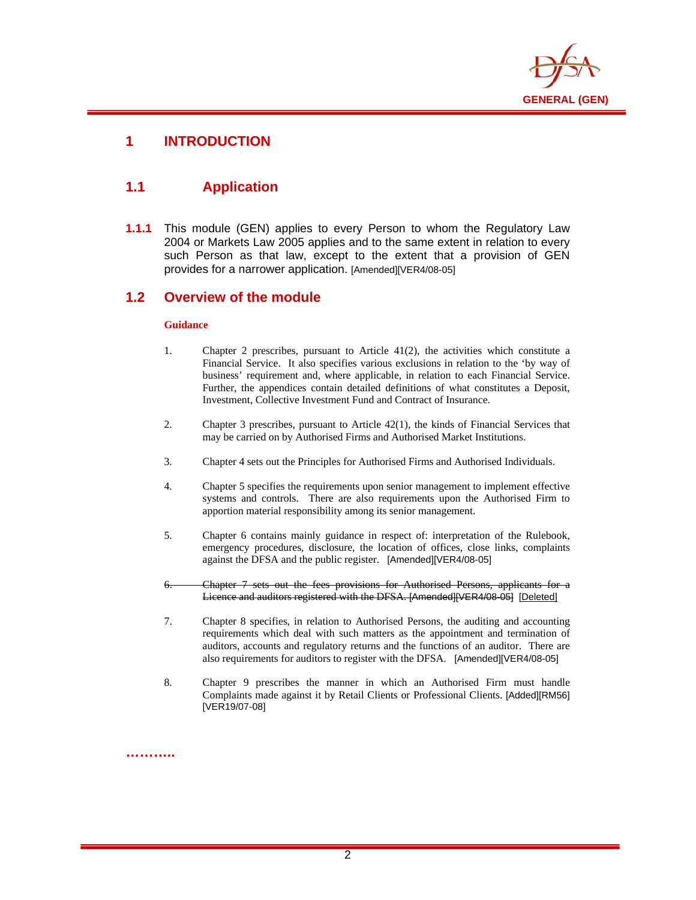

# **1 INTRODUCTION**

## **1.1 Application**

**1.1.1** This module (GEN) applies to every Person to whom the Regulatory Law 2004 or Markets Law 2005 applies and to the same extent in relation to every such Person as that law, except to the extent that a provision of GEN provides for a narrower application. [Amended][VER4/08-05]

### **1.2 Overview of the module**

#### **Guidance**

- 1. Chapter 2 prescribes, pursuant to Article 41(2), the activities which constitute a Financial Service. It also specifies various exclusions in relation to the 'by way of business' requirement and, where applicable, in relation to each Financial Service. Further, the appendices contain detailed definitions of what constitutes a Deposit, Investment, Collective Investment Fund and Contract of Insurance.
- 2. Chapter 3 prescribes, pursuant to Article 42(1), the kinds of Financial Services that may be carried on by Authorised Firms and Authorised Market Institutions.
- 3. Chapter 4 sets out the Principles for Authorised Firms and Authorised Individuals.
- 4. Chapter 5 specifies the requirements upon senior management to implement effective systems and controls. There are also requirements upon the Authorised Firm to apportion material responsibility among its senior management.
- 5. Chapter 6 contains mainly guidance in respect of: interpretation of the Rulebook, emergency procedures, disclosure, the location of offices, close links, complaints against the DFSA and the public register. [Amended][VER4/08-05]
- 6. Chapter 7 sets out the fees provisions for Authorised Persons, applicants for a Licence and auditors registered with the DFSA. [Amended][VER4/08-05] [Deleted]
- 7. Chapter 8 specifies, in relation to Authorised Persons, the auditing and accounting requirements which deal with such matters as the appointment and termination of auditors, accounts and regulatory returns and the functions of an auditor. There are also requirements for auditors to register with the DFSA. [Amended][VER4/08-05]
- 8. Chapter 9 prescribes the manner in which an Authorised Firm must handle Complaints made against it by Retail Clients or Professional Clients. [Added][RM56] [VER19/07-08]

**………..**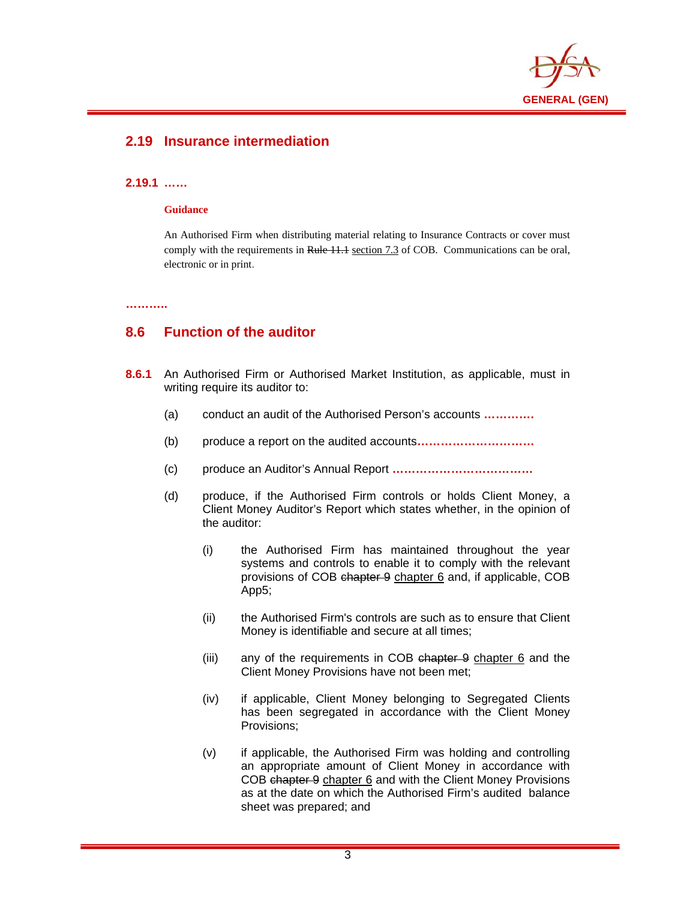

# **2.19 Insurance intermediation**

#### **2.19.1 ……**

#### **Guidance**

An Authorised Firm when distributing material relating to Insurance Contracts or cover must comply with the requirements in Rule 11.1 section 7.3 of COB. Communications can be oral, electronic or in print.

**………..** 

## **8.6 Function of the auditor**

- **8.6.1** An Authorised Firm or Authorised Market Institution, as applicable, must in writing require its auditor to:
	- (a) conduct an audit of the Authorised Person's accounts **………….**
	- (b) produce a report on the audited accounts**…………………………**
	- (c) produce an Auditor's Annual Report **………………………………**
	- (d) produce, if the Authorised Firm controls or holds Client Money, a Client Money Auditor's Report which states whether, in the opinion of the auditor:
		- (i) the Authorised Firm has maintained throughout the year systems and controls to enable it to comply with the relevant provisions of COB chapter 9 chapter 6 and, if applicable, COB App5;
		- (ii) the Authorised Firm's controls are such as to ensure that Client Money is identifiable and secure at all times;
		- (iii) any of the requirements in COB chapter 9 chapter 6 and the Client Money Provisions have not been met;
		- (iv) if applicable, Client Money belonging to Segregated Clients has been segregated in accordance with the Client Money Provisions;
		- (v) if applicable, the Authorised Firm was holding and controlling an appropriate amount of Client Money in accordance with COB chapter 9 chapter 6 and with the Client Money Provisions as at the date on which the Authorised Firm's audited balance sheet was prepared; and